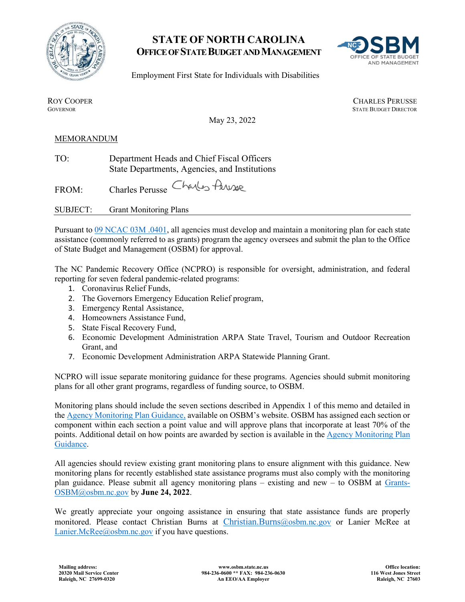

## **STATE OF NORTH CAROLINA OFFICE OF STATE BUDGET AND MANAGEMENT**



Employment First State for Individuals with Disabilities

ROY COOPER<br>GOVERNOR CHARLES PERUSSE<br>GOVERNOR STATE BUDGET DIRECTOR **STATE BUDGET DIRECTOR** 

May 23, 2022

## MEMORANDUM

TO: Department Heads and Chief Fiscal Officers State Departments, Agencies, and Institutions

FROM: Charles Perusse Charles Arrival

SUBJECT: Grant Monitoring Plans

Pursuant to [09 NCAC 03M .0401,](http://reports.oah.state.nc.us/ncac/title%2009%20-%20governor%20and%20lt.%20governor/chapter%2003%20-%20state%20budget%20and%20management/subchapter%20m/09%20ncac%2003m%20.0401.pdf) all agencies must develop and maintain a monitoring plan for each state assistance (commonly referred to as grants) program the agency oversees and submit the plan to the Office of State Budget and Management (OSBM) for approval.

The NC Pandemic Recovery Office (NCPRO) is responsible for oversight, administration, and federal reporting for seven federal pandemic-related programs:

- 1. Coronavirus Relief Funds,
- 2. The Governors Emergency Education Relief program,
- 3. Emergency Rental Assistance,
- 4. Homeowners Assistance Fund,
- 5. State Fiscal Recovery Fund,
- 6. Economic Development Administration ARPA State Travel, Tourism and Outdoor Recreation Grant, and
- 7. Economic Development Administration ARPA Statewide Planning Grant.

NCPRO will issue separate monitoring guidance for these programs. Agencies should submit monitoring plans for all other grant programs, regardless of funding source, to OSBM.

Monitoring plans should include the seven sections described in Appendix 1 of this memo and detailed in the [Agency Monitoring Plan Guidance,](https://www.osbm.nc.gov/media/2620/open) available on OSBM's website. OSBM has assigned each section or component within each section a point value and will approve plans that incorporate at least 70% of the points. Additional detail on how points are awarded by section is available in the Agency Monitoring Plan [Guidance.](https://www.osbm.nc.gov/media/2620/open)

All agencies should review existing grant monitoring plans to ensure alignment with this guidance. New monitoring plans for recently established state assistance programs must also comply with the monitoring plan guidance. Please submit all agency monitoring plans – existing and new – to OSBM at [Grants-](mailto:Grants-OSBM@osbm.nc.gov)[OSBM@osbm.nc.gov](mailto:Grants-OSBM@osbm.nc.gov) by **June 24, 2022**.

We greatly appreciate your ongoing assistance in ensuring that state assistance funds are properly monitored. Please contact Christian Burns at [Christian.Burns@osbm.nc.gov](mailto:Christian.Burns@osbm.nc.gov) or Lanier McRee at [Lanier.McRee@osbm.nc.gov](mailto:Lanier.McRee@osbm.nc.gov) if you have questions.